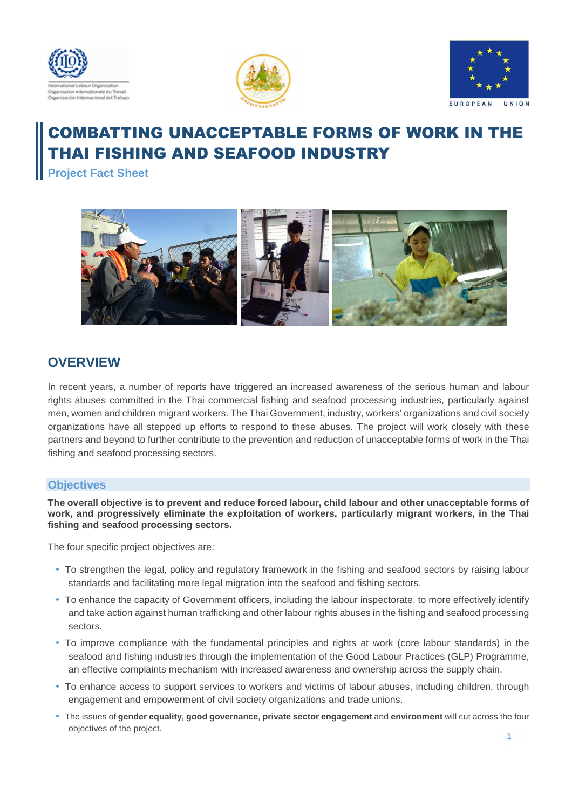





# COMBATTING UNACCEPTABLE FORMS OF WORK IN THE THAI FISHING AND SEAFOOD INDUSTRY

**Project Fact Sheet** 



# **OVERVIEW**

In recent years, a number of reports have triggered an increased awareness of the serious human and labour rights abuses committed in the Thai commercial fishing and seafood processing industries, particularly against men, women and children migrant workers. The Thai Government, industry, workers' organizations and civil society organizations have all stepped up efforts to respond to these abuses. The project will work closely with these partners and beyond to further contribute to the prevention and reduction of unacceptable forms of work in the Thai fishing and seafood processing sectors.

## **Objectives**

**The overall objective is to prevent and reduce forced labour, child labour and other unacceptable forms of work, and progressively eliminate the exploitation of workers, particularly migrant workers, in the Thai fishing and seafood processing sectors.**

The four specific project objectives are:

- To strengthen the legal, policy and regulatory framework in the fishing and seafood sectors by raising labour standards and facilitating more legal migration into the seafood and fishing sectors.
- To enhance the capacity of Government officers, including the labour inspectorate, to more effectively identify and take action against human trafficking and other labour rights abuses in the fishing and seafood processing sectors.
- To improve compliance with the fundamental principles and rights at work (core labour standards) in the seafood and fishing industries through the implementation of the Good Labour Practices (GLP) Programme, an effective complaints mechanism with increased awareness and ownership across the supply chain.
- To enhance access to support services to workers and victims of labour abuses, including children, through engagement and empowerment of civil society organizations and trade unions.
- The issues of **gender equality**, **good governance**, **private sector engagement** and **environment** will cut across the four objectives of the project.